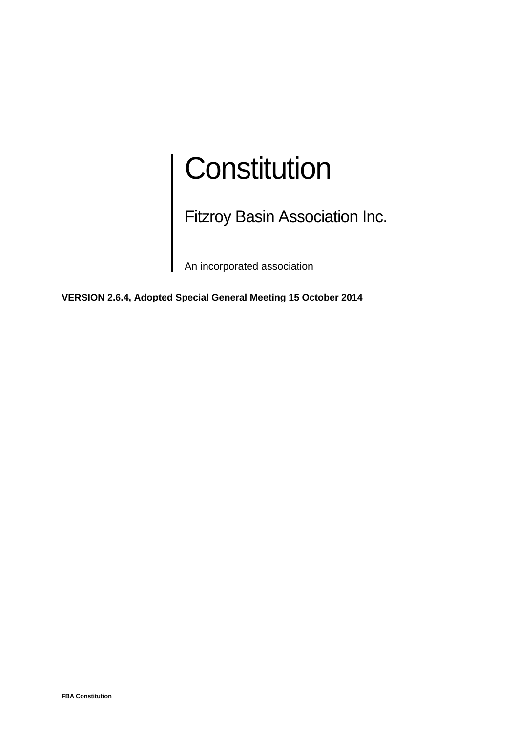# **Constitution**

Fitzroy Basin Association Inc.

An incorporated association

**VERSION 2.6.4, Adopted Special General Meeting 15 October 2014**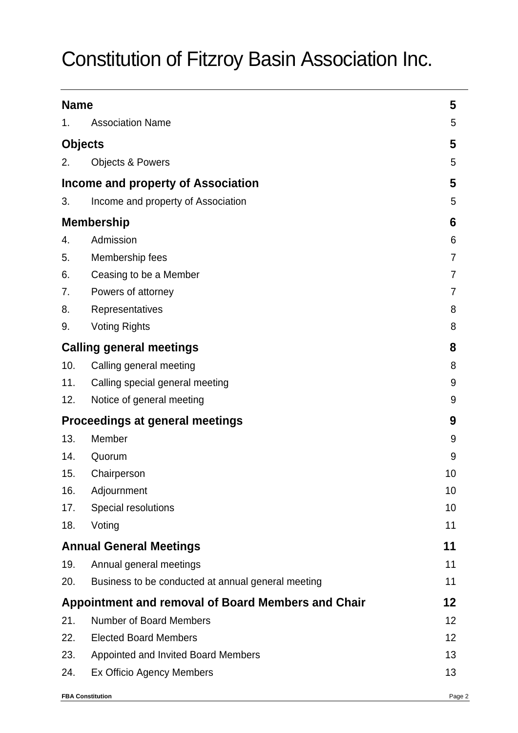# Constitution of Fitzroy Basin Association Inc.

| <b>Name</b>                                        |                                                    | 5              |
|----------------------------------------------------|----------------------------------------------------|----------------|
| 1.                                                 | <b>Association Name</b>                            | 5              |
| <b>Objects</b>                                     |                                                    | 5              |
| 2.                                                 | <b>Objects &amp; Powers</b>                        | 5              |
| Income and property of Association                 | 5                                                  |                |
| 3.                                                 | Income and property of Association                 | 5              |
| <b>Membership</b>                                  | 6                                                  |                |
| 4.                                                 | Admission                                          | 6              |
| 5.                                                 | Membership fees                                    | $\overline{7}$ |
| 6.                                                 | Ceasing to be a Member                             | $\overline{7}$ |
| 7.                                                 | Powers of attorney                                 | 7              |
| 8.                                                 | Representatives                                    | 8              |
| 9.                                                 | <b>Voting Rights</b>                               | 8              |
| <b>Calling general meetings</b>                    |                                                    | 8              |
| 10.                                                | Calling general meeting                            | 8              |
| 11.                                                | Calling special general meeting                    | 9              |
| 12.                                                | Notice of general meeting                          | 9              |
| <b>Proceedings at general meetings</b>             |                                                    | 9              |
| 13.                                                | Member                                             | 9              |
| 14.                                                | Quorum                                             | 9              |
| 15.                                                | Chairperson                                        | 10             |
| 16.                                                | Adjournment                                        | 10             |
| 17.                                                | Special resolutions                                | 10             |
| 18.                                                | Voting                                             | 11             |
| <b>Annual General Meetings</b>                     |                                                    | 11             |
| 19.                                                | Annual general meetings                            | 11             |
| 20.                                                | Business to be conducted at annual general meeting | 11             |
| Appointment and removal of Board Members and Chair | 12                                                 |                |
| 21.                                                | <b>Number of Board Members</b>                     | 12             |
| 22.                                                | <b>Elected Board Members</b>                       | 12             |
| 23.                                                | Appointed and Invited Board Members                | 13             |
| 24.                                                | Ex Officio Agency Members                          | 13             |
| <b>FBA Constitution</b>                            |                                                    | Page 2         |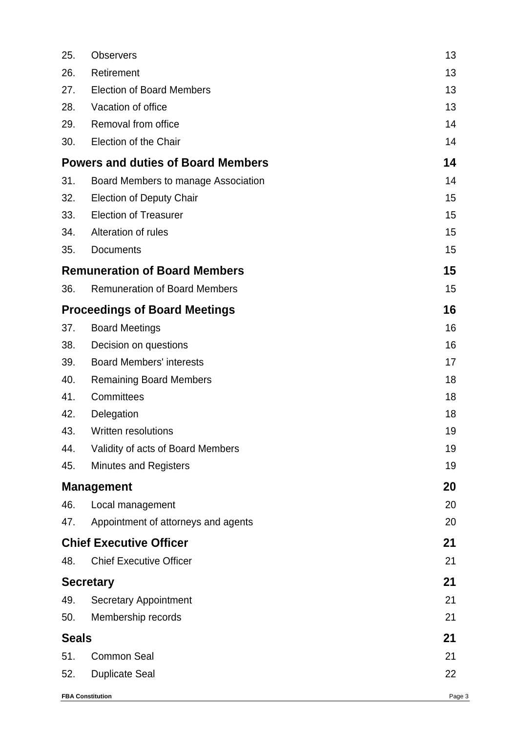| 25.              | <b>Observers</b>                          | 13     |
|------------------|-------------------------------------------|--------|
| 26.              | Retirement                                | 13     |
| 27.              | <b>Election of Board Members</b>          | 13     |
| 28.              | Vacation of office                        | 13     |
| 29.              | Removal from office                       | 14     |
| 30.              | Election of the Chair                     | 14     |
|                  | <b>Powers and duties of Board Members</b> | 14     |
| 31.              | Board Members to manage Association       | 14     |
| 32.              | <b>Election of Deputy Chair</b>           | 15     |
| 33.              | <b>Election of Treasurer</b>              | 15     |
| 34.              | Alteration of rules                       | 15     |
| 35.              | <b>Documents</b>                          | 15     |
|                  | <b>Remuneration of Board Members</b>      | 15     |
| 36.              | <b>Remuneration of Board Members</b>      | 15     |
|                  | <b>Proceedings of Board Meetings</b>      | 16     |
| 37.              | <b>Board Meetings</b>                     | 16     |
| 38.              | Decision on questions                     | 16     |
| 39.              | <b>Board Members' interests</b>           | 17     |
| 40.              | <b>Remaining Board Members</b>            | 18     |
| 41.              | Committees                                | 18     |
| 42.              | Delegation                                | 18     |
| 43.              | <b>Written resolutions</b>                | 19     |
| 44.              | Validity of acts of Board Members         | 19     |
| 45.              | <b>Minutes and Registers</b>              | 19     |
|                  | <b>Management</b>                         | 20     |
| 46.              | Local management                          | 20     |
| 47.              | Appointment of attorneys and agents       | 20     |
|                  | <b>Chief Executive Officer</b>            | 21     |
| 48.              | <b>Chief Executive Officer</b>            | 21     |
| <b>Secretary</b> |                                           | 21     |
| 49.              | <b>Secretary Appointment</b>              | 21     |
| 50.              | Membership records                        | 21     |
| <b>Seals</b>     |                                           | 21     |
| 51.              | <b>Common Seal</b>                        | 21     |
| 52.              | <b>Duplicate Seal</b>                     | 22     |
|                  | <b>FBA Constitution</b>                   | Page 3 |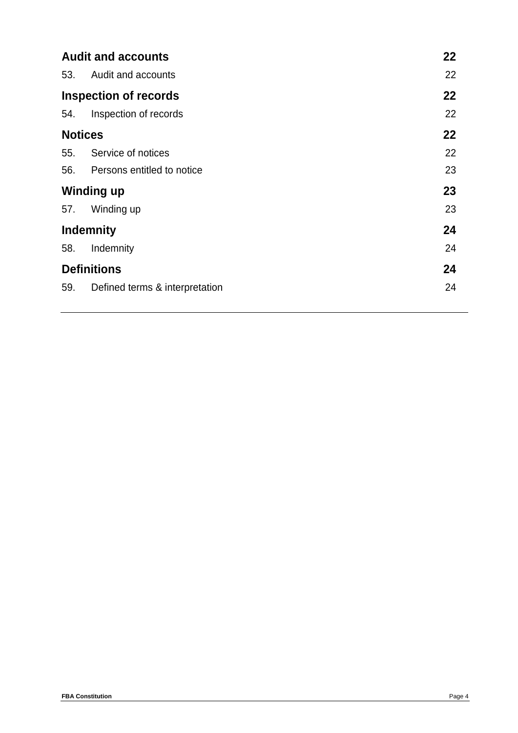| <b>Audit and accounts</b>    |                                |    |
|------------------------------|--------------------------------|----|
| 53.                          | Audit and accounts             | 22 |
| <b>Inspection of records</b> |                                | 22 |
| 54.                          | Inspection of records          | 22 |
| <b>Notices</b>               |                                | 22 |
| 55.                          | Service of notices             | 22 |
| 56.                          | Persons entitled to notice     | 23 |
| <b>Winding up</b>            |                                | 23 |
| 57.                          | Winding up                     | 23 |
| <b>Indemnity</b>             |                                | 24 |
| 58.                          | Indemnity                      | 24 |
| <b>Definitions</b>           |                                | 24 |
| 59.                          | Defined terms & interpretation | 24 |
|                              |                                |    |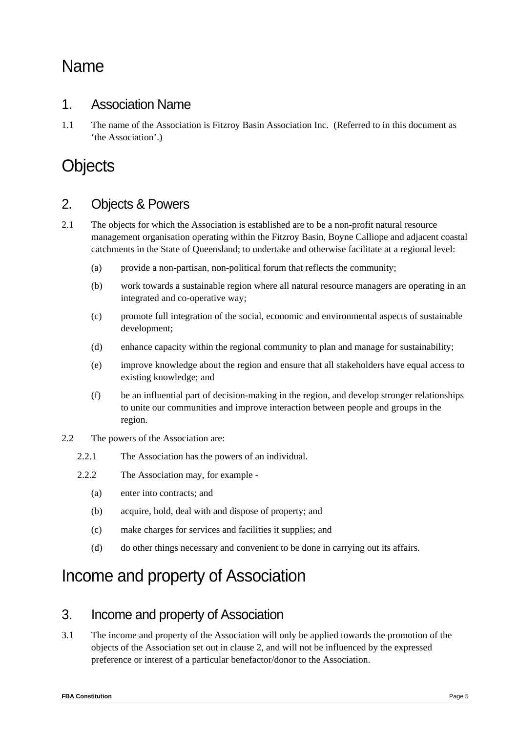# Name

#### 1. Association Name

1.1 The name of the Association is Fitzroy Basin Association Inc. (Referred to in this document as 'the Association'.)

# **Objects**

### 2. Objects & Powers

- 2.1 The objects for which the Association is established are to be a non-profit natural resource management organisation operating within the Fitzroy Basin, Boyne Calliope and adjacent coastal catchments in the State of Queensland; to undertake and otherwise facilitate at a regional level:
	- (a) provide a non-partisan, non-political forum that reflects the community;
	- (b) work towards a sustainable region where all natural resource managers are operating in an integrated and co-operative way;
	- (c) promote full integration of the social, economic and environmental aspects of sustainable development;
	- (d) enhance capacity within the regional community to plan and manage for sustainability;
	- (e) improve knowledge about the region and ensure that all stakeholders have equal access to existing knowledge; and
	- (f) be an influential part of decision-making in the region, and develop stronger relationships to unite our communities and improve interaction between people and groups in the region.
- 2.2 The powers of the Association are:
	- 2.2.1 The Association has the powers of an individual.
	- 2.2.2 The Association may, for example
		- (a) enter into contracts; and
		- (b) acquire, hold, deal with and dispose of property; and
		- (c) make charges for services and facilities it supplies; and
		- (d) do other things necessary and convenient to be done in carrying out its affairs.

# Income and property of Association

#### 3. Income and property of Association

3.1 The income and property of the Association will only be applied towards the promotion of the objects of the Association set out in clause 2, and will not be influenced by the expressed preference or interest of a particular benefactor/donor to the Association.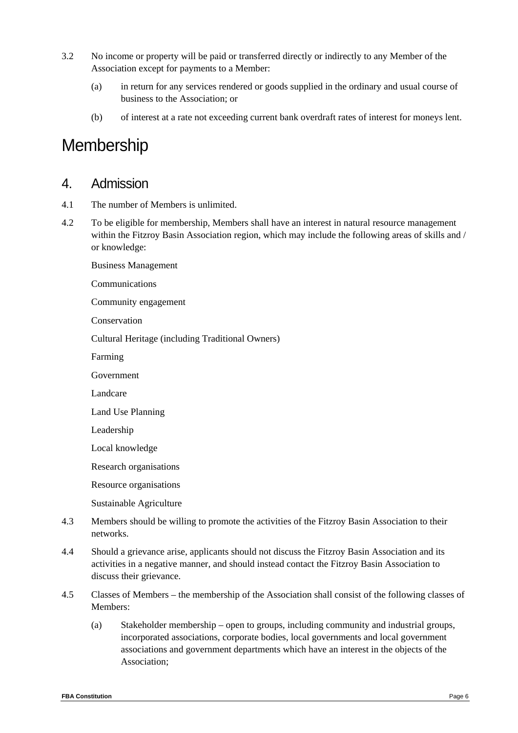- 3.2 No income or property will be paid or transferred directly or indirectly to any Member of the Association except for payments to a Member:
	- (a) in return for any services rendered or goods supplied in the ordinary and usual course of business to the Association; or
	- (b) of interest at a rate not exceeding current bank overdraft rates of interest for moneys lent.

# **Membership**

#### 4. Admission

4.1 The number of Members is unlimited.

Business Management

- 4.2 To be eligible for membership, Members shall have an interest in natural resource management within the Fitzroy Basin Association region, which may include the following areas of skills and / or knowledge:
- Communications Community engagement Conservation Cultural Heritage (including Traditional Owners) Farming Government Landcare Land Use Planning Leadership Local knowledge Research organisations Resource organisations Sustainable Agriculture 4.3 Members should be willing to promote the activities of the Fitzroy Basin Association to their networks.
- 4.4 Should a grievance arise, applicants should not discuss the Fitzroy Basin Association and its activities in a negative manner, and should instead contact the Fitzroy Basin Association to discuss their grievance.
- 4.5 Classes of Members the membership of the Association shall consist of the following classes of Members:
	- (a) Stakeholder membership open to groups, including community and industrial groups, incorporated associations, corporate bodies, local governments and local government associations and government departments which have an interest in the objects of the Association;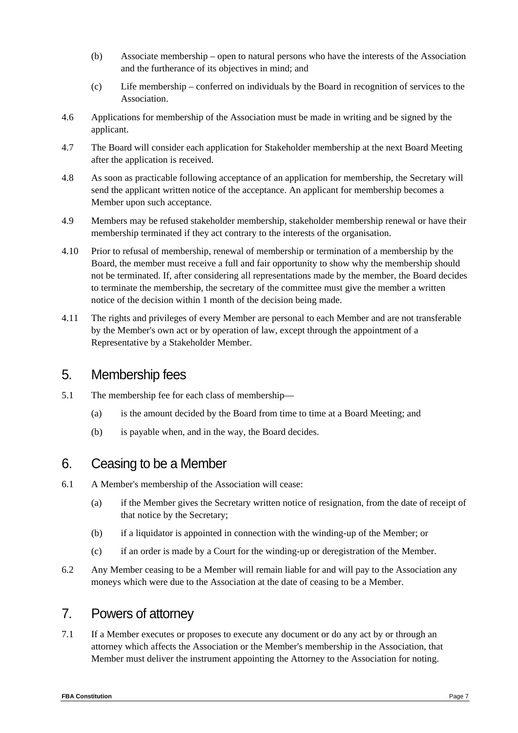- (b) Associate membership open to natural persons who have the interests of the Association and the furtherance of its objectives in mind; and
- (c) Life membership conferred on individuals by the Board in recognition of services to the Association.
- 4.6 Applications for membership of the Association must be made in writing and be signed by the applicant.
- 4.7 The Board will consider each application for Stakeholder membership at the next Board Meeting after the application is received.
- 4.8 As soon as practicable following acceptance of an application for membership, the Secretary will send the applicant written notice of the acceptance. An applicant for membership becomes a Member upon such acceptance.
- 4.9 Members may be refused stakeholder membership, stakeholder membership renewal or have their membership terminated if they act contrary to the interests of the organisation.
- 4.10 Prior to refusal of membership, renewal of membership or termination of a membership by the Board, the member must receive a full and fair opportunity to show why the membership should not be terminated. If, after considering all representations made by the member, the Board decides to terminate the membership, the secretary of the committee must give the member a written notice of the decision within 1 month of the decision being made.
- 4.11 The rights and privileges of every Member are personal to each Member and are not transferable by the Member's own act or by operation of law, except through the appointment of a Representative by a Stakeholder Member.

#### 5. Membership fees

- 5.1 The membership fee for each class of membership—
	- (a) is the amount decided by the Board from time to time at a Board Meeting; and
	- (b) is payable when, and in the way, the Board decides.

### 6. Ceasing to be a Member

- 6.1 A Member's membership of the Association will cease:
	- (a) if the Member gives the Secretary written notice of resignation, from the date of receipt of that notice by the Secretary;
	- (b) if a liquidator is appointed in connection with the winding-up of the Member; or
	- (c) if an order is made by a Court for the winding-up or deregistration of the Member.
- 6.2 Any Member ceasing to be a Member will remain liable for and will pay to the Association any moneys which were due to the Association at the date of ceasing to be a Member.

### 7. Powers of attorney

7.1 If a Member executes or proposes to execute any document or do any act by or through an attorney which affects the Association or the Member's membership in the Association, that Member must deliver the instrument appointing the Attorney to the Association for noting.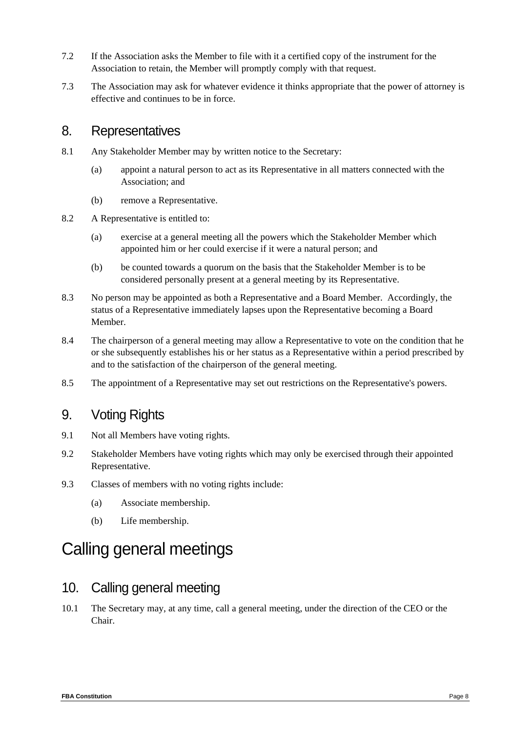- 7.2 If the Association asks the Member to file with it a certified copy of the instrument for the Association to retain, the Member will promptly comply with that request.
- 7.3 The Association may ask for whatever evidence it thinks appropriate that the power of attorney is effective and continues to be in force.

#### 8. Representatives

- 8.1 Any Stakeholder Member may by written notice to the Secretary:
	- (a) appoint a natural person to act as its Representative in all matters connected with the Association; and
	- (b) remove a Representative.
- 8.2 A Representative is entitled to:
	- (a) exercise at a general meeting all the powers which the Stakeholder Member which appointed him or her could exercise if it were a natural person; and
	- (b) be counted towards a quorum on the basis that the Stakeholder Member is to be considered personally present at a general meeting by its Representative.
- 8.3 No person may be appointed as both a Representative and a Board Member. Accordingly, the status of a Representative immediately lapses upon the Representative becoming a Board Member.
- 8.4 The chairperson of a general meeting may allow a Representative to vote on the condition that he or she subsequently establishes his or her status as a Representative within a period prescribed by and to the satisfaction of the chairperson of the general meeting.
- 8.5 The appointment of a Representative may set out restrictions on the Representative's powers.

### 9. Voting Rights

- 9.1 Not all Members have voting rights.
- 9.2 Stakeholder Members have voting rights which may only be exercised through their appointed Representative.
- 9.3 Classes of members with no voting rights include:
	- (a) Associate membership.
	- (b) Life membership.

# Calling general meetings

#### 10. Calling general meeting

10.1 The Secretary may, at any time, call a general meeting, under the direction of the CEO or the Chair.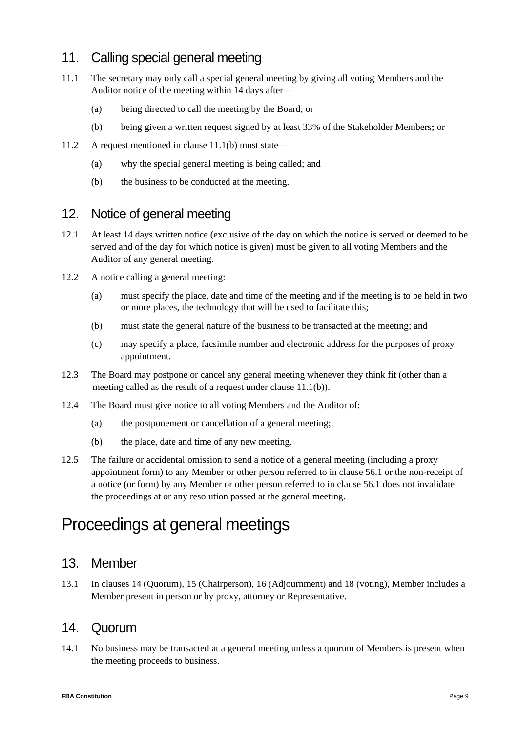### 11. Calling special general meeting

- 11.1 The secretary may only call a special general meeting by giving all voting Members and the Auditor notice of the meeting within 14 days after—
	- (a) being directed to call the meeting by the Board; or
	- (b) being given a written request signed by at least 33% of the Stakeholder Members**;** or
- 11.2 A request mentioned in clause 11.1(b) must state—
	- (a) why the special general meeting is being called; and
	- (b) the business to be conducted at the meeting.

### 12. Notice of general meeting

- 12.1 At least 14 days written notice (exclusive of the day on which the notice is served or deemed to be served and of the day for which notice is given) must be given to all voting Members and the Auditor of any general meeting.
- 12.2 A notice calling a general meeting:
	- (a) must specify the place, date and time of the meeting and if the meeting is to be held in two or more places, the technology that will be used to facilitate this;
	- (b) must state the general nature of the business to be transacted at the meeting; and
	- (c) may specify a place, facsimile number and electronic address for the purposes of proxy appointment.
- 12.3 The Board may postpone or cancel any general meeting whenever they think fit (other than a meeting called as the result of a request under clause 11.1(b)).
- 12.4 The Board must give notice to all voting Members and the Auditor of:
	- (a) the postponement or cancellation of a general meeting;
	- (b) the place, date and time of any new meeting.
- 12.5 The failure or accidental omission to send a notice of a general meeting (including a proxy appointment form) to any Member or other person referred to in clause 56.1 or the non-receipt of a notice (or form) by any Member or other person referred to in clause 56.1 does not invalidate the proceedings at or any resolution passed at the general meeting.

# Proceedings at general meetings

#### 13. Member

13.1 In clauses 14 (Quorum), 15 (Chairperson), 16 (Adjournment) and 18 (voting), Member includes a Member present in person or by proxy, attorney or Representative.

#### 14. Quorum

14.1 No business may be transacted at a general meeting unless a quorum of Members is present when the meeting proceeds to business.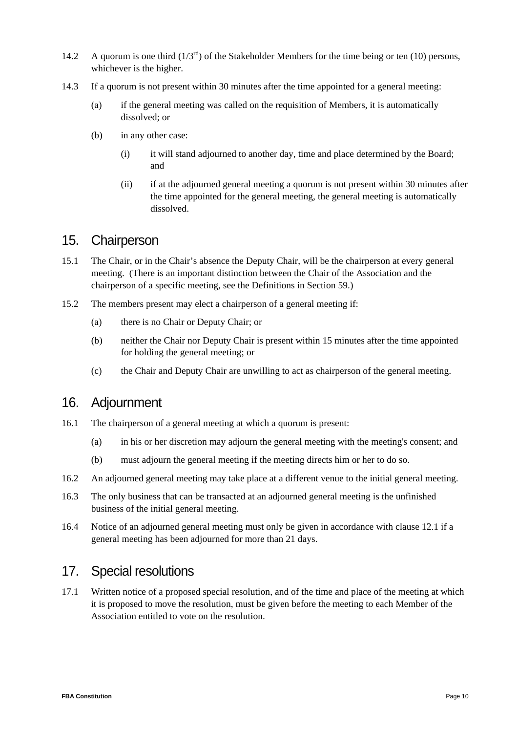- 14.2 A quorum is one third  $(1/3^{rd})$  of the Stakeholder Members for the time being or ten (10) persons, whichever is the higher.
- 14.3 If a quorum is not present within 30 minutes after the time appointed for a general meeting:
	- (a) if the general meeting was called on the requisition of Members, it is automatically dissolved; or
	- (b) in any other case:
		- (i) it will stand adjourned to another day, time and place determined by the Board; and
		- (ii) if at the adjourned general meeting a quorum is not present within 30 minutes after the time appointed for the general meeting, the general meeting is automatically dissolved.

#### 15. Chairperson

- 15.1 The Chair, or in the Chair's absence the Deputy Chair, will be the chairperson at every general meeting. (There is an important distinction between the Chair of the Association and the chairperson of a specific meeting, see the Definitions in Section 59.)
- 15.2 The members present may elect a chairperson of a general meeting if:
	- (a) there is no Chair or Deputy Chair; or
	- (b) neither the Chair nor Deputy Chair is present within 15 minutes after the time appointed for holding the general meeting; or
	- (c) the Chair and Deputy Chair are unwilling to act as chairperson of the general meeting.

#### 16. Adjournment

- 16.1 The chairperson of a general meeting at which a quorum is present:
	- (a) in his or her discretion may adjourn the general meeting with the meeting's consent; and
	- (b) must adjourn the general meeting if the meeting directs him or her to do so.
- 16.2 An adjourned general meeting may take place at a different venue to the initial general meeting.
- 16.3 The only business that can be transacted at an adjourned general meeting is the unfinished business of the initial general meeting.
- 16.4 Notice of an adjourned general meeting must only be given in accordance with clause 12.1 if a general meeting has been adjourned for more than 21 days.

#### 17. Special resolutions

17.1 Written notice of a proposed special resolution, and of the time and place of the meeting at which it is proposed to move the resolution, must be given before the meeting to each Member of the Association entitled to vote on the resolution.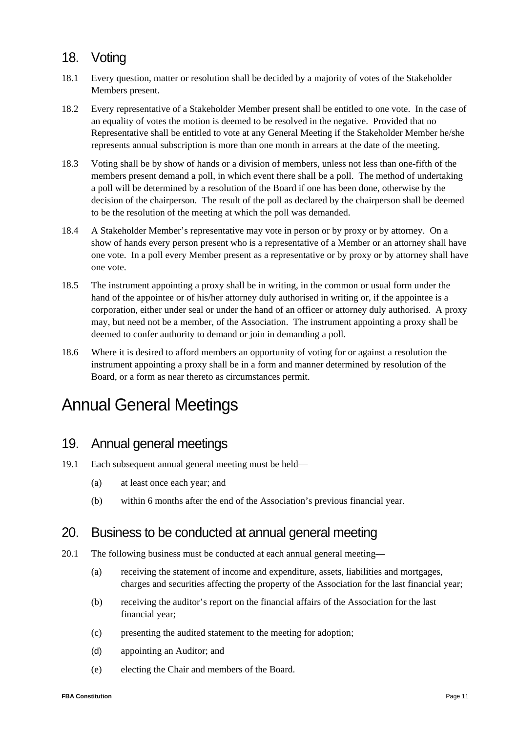### 18. Voting

- 18.1 Every question, matter or resolution shall be decided by a majority of votes of the Stakeholder Members present.
- 18.2 Every representative of a Stakeholder Member present shall be entitled to one vote. In the case of an equality of votes the motion is deemed to be resolved in the negative. Provided that no Representative shall be entitled to vote at any General Meeting if the Stakeholder Member he/she represents annual subscription is more than one month in arrears at the date of the meeting.
- 18.3 Voting shall be by show of hands or a division of members, unless not less than one-fifth of the members present demand a poll, in which event there shall be a poll. The method of undertaking a poll will be determined by a resolution of the Board if one has been done, otherwise by the decision of the chairperson. The result of the poll as declared by the chairperson shall be deemed to be the resolution of the meeting at which the poll was demanded.
- 18.4 A Stakeholder Member's representative may vote in person or by proxy or by attorney. On a show of hands every person present who is a representative of a Member or an attorney shall have one vote. In a poll every Member present as a representative or by proxy or by attorney shall have one vote.
- 18.5 The instrument appointing a proxy shall be in writing, in the common or usual form under the hand of the appointee or of his/her attorney duly authorised in writing or, if the appointee is a corporation, either under seal or under the hand of an officer or attorney duly authorised. A proxy may, but need not be a member, of the Association. The instrument appointing a proxy shall be deemed to confer authority to demand or join in demanding a poll.
- 18.6 Where it is desired to afford members an opportunity of voting for or against a resolution the instrument appointing a proxy shall be in a form and manner determined by resolution of the Board, or a form as near thereto as circumstances permit.

# Annual General Meetings

### 19. Annual general meetings

- 19.1 Each subsequent annual general meeting must be held—
	- (a) at least once each year; and
	- (b) within 6 months after the end of the Association's previous financial year.

#### 20. Business to be conducted at annual general meeting

- 20.1 The following business must be conducted at each annual general meeting—
	- (a) receiving the statement of income and expenditure, assets, liabilities and mortgages, charges and securities affecting the property of the Association for the last financial year;
	- (b) receiving the auditor's report on the financial affairs of the Association for the last financial year;
	- (c) presenting the audited statement to the meeting for adoption;
	- (d) appointing an Auditor; and
	- (e) electing the Chair and members of the Board.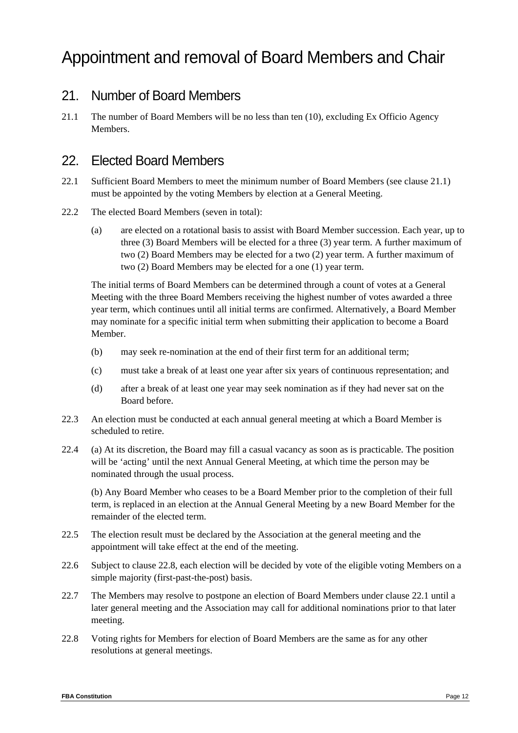# Appointment and removal of Board Members and Chair

### 21. Number of Board Members

21.1 The number of Board Members will be no less than ten (10), excluding Ex Officio Agency Members.

### 22. Elected Board Members

- 22.1 Sufficient Board Members to meet the minimum number of Board Members (see clause 21.1) must be appointed by the voting Members by election at a General Meeting.
- 22.2 The elected Board Members (seven in total):
	- (a) are elected on a rotational basis to assist with Board Member succession. Each year, up to three (3) Board Members will be elected for a three (3) year term. A further maximum of two (2) Board Members may be elected for a two (2) year term. A further maximum of two (2) Board Members may be elected for a one (1) year term.

The initial terms of Board Members can be determined through a count of votes at a General Meeting with the three Board Members receiving the highest number of votes awarded a three year term, which continues until all initial terms are confirmed. Alternatively, a Board Member may nominate for a specific initial term when submitting their application to become a Board Member.

- (b) may seek re-nomination at the end of their first term for an additional term;
- (c) must take a break of at least one year after six years of continuous representation; and
- (d) after a break of at least one year may seek nomination as if they had never sat on the Board before.
- 22.3 An election must be conducted at each annual general meeting at which a Board Member is scheduled to retire.
- 22.4 (a) At its discretion, the Board may fill a casual vacancy as soon as is practicable. The position will be 'acting' until the next Annual General Meeting, at which time the person may be nominated through the usual process.

(b) Any Board Member who ceases to be a Board Member prior to the completion of their full term, is replaced in an election at the Annual General Meeting by a new Board Member for the remainder of the elected term.

- 22.5 The election result must be declared by the Association at the general meeting and the appointment will take effect at the end of the meeting.
- 22.6 Subject to clause 22.8, each election will be decided by vote of the eligible voting Members on a simple majority (first-past-the-post) basis.
- 22.7 The Members may resolve to postpone an election of Board Members under clause 22.1 until a later general meeting and the Association may call for additional nominations prior to that later meeting.
- 22.8 Voting rights for Members for election of Board Members are the same as for any other resolutions at general meetings.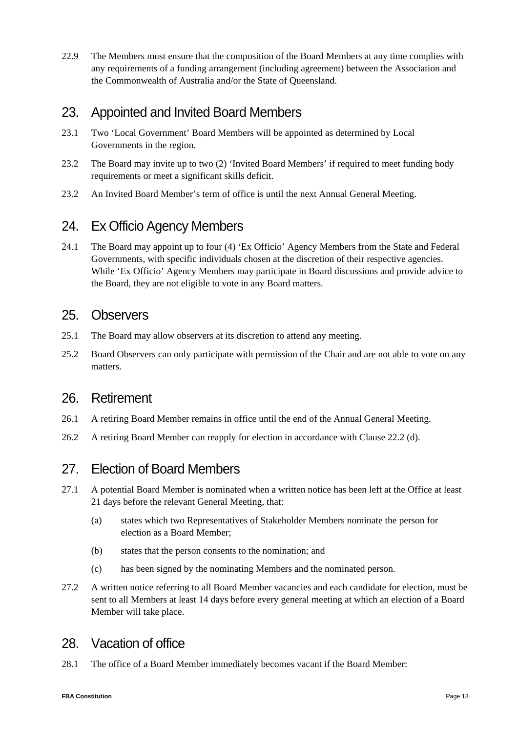22.9 The Members must ensure that the composition of the Board Members at any time complies with any requirements of a funding arrangement (including agreement) between the Association and the Commonwealth of Australia and/or the State of Queensland.

### 23. Appointed and Invited Board Members

- 23.1 Two 'Local Government' Board Members will be appointed as determined by Local Governments in the region.
- 23.2 The Board may invite up to two (2) 'Invited Board Members' if required to meet funding body requirements or meet a significant skills deficit.
- 23.2 An Invited Board Member's term of office is until the next Annual General Meeting.

### 24. Ex Officio Agency Members

24.1 The Board may appoint up to four (4) 'Ex Officio' Agency Members from the State and Federal Governments, with specific individuals chosen at the discretion of their respective agencies. While 'Ex Officio' Agency Members may participate in Board discussions and provide advice to the Board, they are not eligible to vote in any Board matters.

#### 25. Observers

- 25.1 The Board may allow observers at its discretion to attend any meeting.
- 25.2 Board Observers can only participate with permission of the Chair and are not able to vote on any matters.

#### 26. Retirement

- 26.1 A retiring Board Member remains in office until the end of the Annual General Meeting.
- 26.2 A retiring Board Member can reapply for election in accordance with Clause 22.2 (d).

### 27. Election of Board Members

- 27.1 A potential Board Member is nominated when a written notice has been left at the Office at least 21 days before the relevant General Meeting, that:
	- (a) states which two Representatives of Stakeholder Members nominate the person for election as a Board Member;
	- (b) states that the person consents to the nomination; and
	- (c) has been signed by the nominating Members and the nominated person.
- 27.2 A written notice referring to all Board Member vacancies and each candidate for election, must be sent to all Members at least 14 days before every general meeting at which an election of a Board Member will take place.

#### 28. Vacation of office

28.1 The office of a Board Member immediately becomes vacant if the Board Member: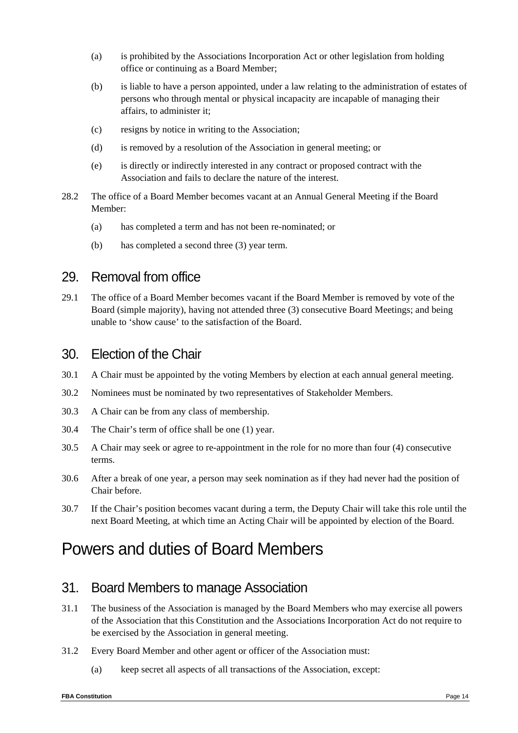- (a) is prohibited by the Associations Incorporation Act or other legislation from holding office or continuing as a Board Member;
- (b) is liable to have a person appointed, under a law relating to the administration of estates of persons who through mental or physical incapacity are incapable of managing their affairs, to administer it;
- (c) resigns by notice in writing to the Association;
- (d) is removed by a resolution of the Association in general meeting; or
- (e) is directly or indirectly interested in any contract or proposed contract with the Association and fails to declare the nature of the interest.
- 28.2 The office of a Board Member becomes vacant at an Annual General Meeting if the Board Member:
	- (a) has completed a term and has not been re-nominated; or
	- (b) has completed a second three (3) year term.

#### 29. Removal from office

29.1 The office of a Board Member becomes vacant if the Board Member is removed by vote of the Board (simple majority), having not attended three (3) consecutive Board Meetings; and being unable to 'show cause' to the satisfaction of the Board.

#### 30. Election of the Chair

- 30.1 A Chair must be appointed by the voting Members by election at each annual general meeting.
- 30.2 Nominees must be nominated by two representatives of Stakeholder Members.
- 30.3 A Chair can be from any class of membership.
- 30.4 The Chair's term of office shall be one (1) year.
- 30.5 A Chair may seek or agree to re-appointment in the role for no more than four (4) consecutive terms.
- 30.6 After a break of one year, a person may seek nomination as if they had never had the position of Chair before.
- 30.7 If the Chair's position becomes vacant during a term, the Deputy Chair will take this role until the next Board Meeting, at which time an Acting Chair will be appointed by election of the Board.

# Powers and duties of Board Members

#### 31. Board Members to manage Association

- 31.1 The business of the Association is managed by the Board Members who may exercise all powers of the Association that this Constitution and the Associations Incorporation Act do not require to be exercised by the Association in general meeting.
- 31.2 Every Board Member and other agent or officer of the Association must:
	- (a) keep secret all aspects of all transactions of the Association, except: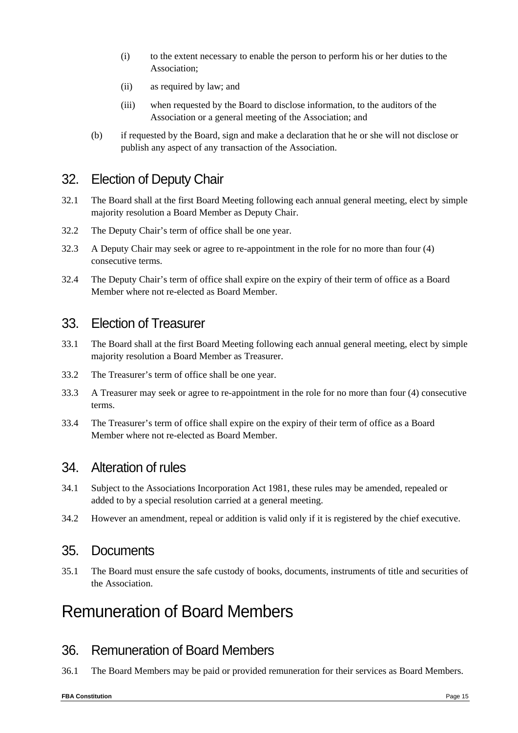- (i) to the extent necessary to enable the person to perform his or her duties to the Association;
- (ii) as required by law; and
- (iii) when requested by the Board to disclose information, to the auditors of the Association or a general meeting of the Association; and
- (b) if requested by the Board, sign and make a declaration that he or she will not disclose or publish any aspect of any transaction of the Association.

### 32. Election of Deputy Chair

- 32.1 The Board shall at the first Board Meeting following each annual general meeting, elect by simple majority resolution a Board Member as Deputy Chair.
- 32.2 The Deputy Chair's term of office shall be one year.
- 32.3 A Deputy Chair may seek or agree to re-appointment in the role for no more than four (4) consecutive terms.
- 32.4 The Deputy Chair's term of office shall expire on the expiry of their term of office as a Board Member where not re-elected as Board Member.

#### 33. Election of Treasurer

- 33.1 The Board shall at the first Board Meeting following each annual general meeting, elect by simple majority resolution a Board Member as Treasurer.
- 33.2 The Treasurer's term of office shall be one year.
- 33.3 A Treasurer may seek or agree to re-appointment in the role for no more than four (4) consecutive terms.
- 33.4 The Treasurer's term of office shall expire on the expiry of their term of office as a Board Member where not re-elected as Board Member.

#### 34. Alteration of rules

- 34.1 Subject to the Associations Incorporation Act 1981, these rules may be amended, repealed or added to by a special resolution carried at a general meeting.
- 34.2 However an amendment, repeal or addition is valid only if it is registered by the chief executive.

#### 35. Documents

35.1 The Board must ensure the safe custody of books, documents, instruments of title and securities of the Association.

### Remuneration of Board Members

### 36. Remuneration of Board Members

36.1 The Board Members may be paid or provided remuneration for their services as Board Members.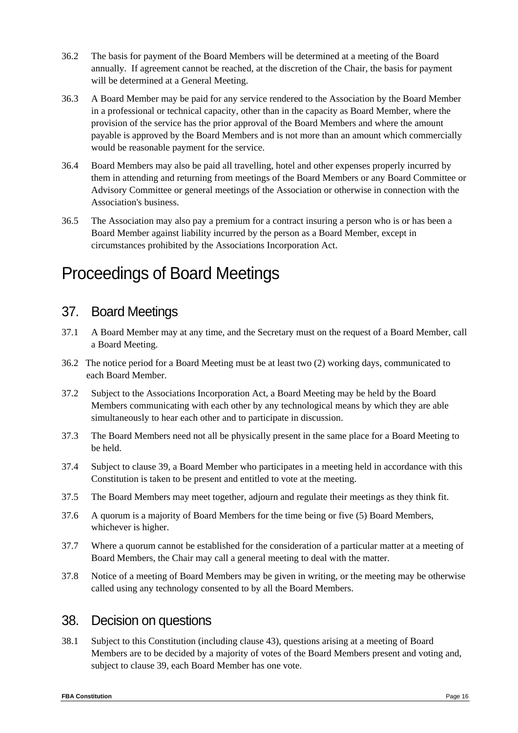- 36.2 The basis for payment of the Board Members will be determined at a meeting of the Board annually. If agreement cannot be reached, at the discretion of the Chair, the basis for payment will be determined at a General Meeting.
- 36.3 A Board Member may be paid for any service rendered to the Association by the Board Member in a professional or technical capacity, other than in the capacity as Board Member, where the provision of the service has the prior approval of the Board Members and where the amount payable is approved by the Board Members and is not more than an amount which commercially would be reasonable payment for the service.
- 36.4 Board Members may also be paid all travelling, hotel and other expenses properly incurred by them in attending and returning from meetings of the Board Members or any Board Committee or Advisory Committee or general meetings of the Association or otherwise in connection with the Association's business.
- 36.5 The Association may also pay a premium for a contract insuring a person who is or has been a Board Member against liability incurred by the person as a Board Member, except in circumstances prohibited by the Associations Incorporation Act.

# Proceedings of Board Meetings

### 37. Board Meetings

- 37.1 A Board Member may at any time, and the Secretary must on the request of a Board Member, call a Board Meeting.
- 36.2 The notice period for a Board Meeting must be at least two (2) working days, communicated to each Board Member.
- 37.2 Subject to the Associations Incorporation Act, a Board Meeting may be held by the Board Members communicating with each other by any technological means by which they are able simultaneously to hear each other and to participate in discussion.
- 37.3 The Board Members need not all be physically present in the same place for a Board Meeting to be held.
- 37.4 Subject to clause 39, a Board Member who participates in a meeting held in accordance with this Constitution is taken to be present and entitled to vote at the meeting.
- 37.5 The Board Members may meet together, adjourn and regulate their meetings as they think fit.
- 37.6 A quorum is a majority of Board Members for the time being or five (5) Board Members, whichever is higher.
- 37.7 Where a quorum cannot be established for the consideration of a particular matter at a meeting of Board Members, the Chair may call a general meeting to deal with the matter.
- 37.8 Notice of a meeting of Board Members may be given in writing, or the meeting may be otherwise called using any technology consented to by all the Board Members.

### 38. Decision on questions

38.1 Subject to this Constitution (including clause 43), questions arising at a meeting of Board Members are to be decided by a majority of votes of the Board Members present and voting and, subject to clause 39, each Board Member has one vote.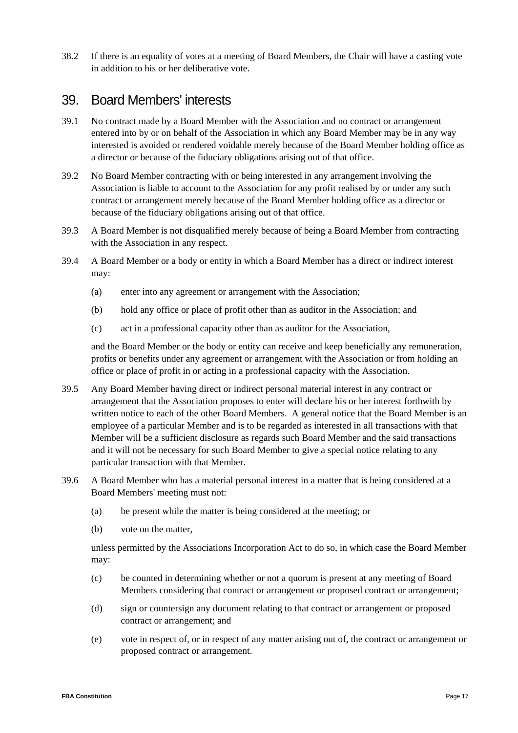38.2 If there is an equality of votes at a meeting of Board Members, the Chair will have a casting vote in addition to his or her deliberative vote.

#### 39. Board Members' interests

- 39.1 No contract made by a Board Member with the Association and no contract or arrangement entered into by or on behalf of the Association in which any Board Member may be in any way interested is avoided or rendered voidable merely because of the Board Member holding office as a director or because of the fiduciary obligations arising out of that office.
- 39.2 No Board Member contracting with or being interested in any arrangement involving the Association is liable to account to the Association for any profit realised by or under any such contract or arrangement merely because of the Board Member holding office as a director or because of the fiduciary obligations arising out of that office.
- 39.3 A Board Member is not disqualified merely because of being a Board Member from contracting with the Association in any respect.
- 39.4 A Board Member or a body or entity in which a Board Member has a direct or indirect interest may:
	- (a) enter into any agreement or arrangement with the Association;
	- (b) hold any office or place of profit other than as auditor in the Association; and
	- (c) act in a professional capacity other than as auditor for the Association,

and the Board Member or the body or entity can receive and keep beneficially any remuneration, profits or benefits under any agreement or arrangement with the Association or from holding an office or place of profit in or acting in a professional capacity with the Association.

- 39.5 Any Board Member having direct or indirect personal material interest in any contract or arrangement that the Association proposes to enter will declare his or her interest forthwith by written notice to each of the other Board Members. A general notice that the Board Member is an employee of a particular Member and is to be regarded as interested in all transactions with that Member will be a sufficient disclosure as regards such Board Member and the said transactions and it will not be necessary for such Board Member to give a special notice relating to any particular transaction with that Member.
- 39.6 A Board Member who has a material personal interest in a matter that is being considered at a Board Members' meeting must not:
	- (a) be present while the matter is being considered at the meeting; or
	- (b) vote on the matter,

unless permitted by the Associations Incorporation Act to do so, in which case the Board Member may:

- (c) be counted in determining whether or not a quorum is present at any meeting of Board Members considering that contract or arrangement or proposed contract or arrangement;
- (d) sign or countersign any document relating to that contract or arrangement or proposed contract or arrangement; and
- (e) vote in respect of, or in respect of any matter arising out of, the contract or arrangement or proposed contract or arrangement.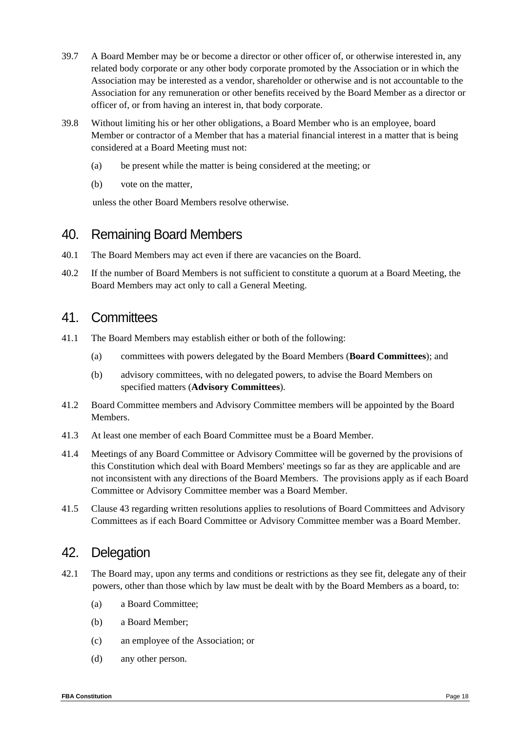- 39.7 A Board Member may be or become a director or other officer of, or otherwise interested in, any related body corporate or any other body corporate promoted by the Association or in which the Association may be interested as a vendor, shareholder or otherwise and is not accountable to the Association for any remuneration or other benefits received by the Board Member as a director or officer of, or from having an interest in, that body corporate.
- 39.8 Without limiting his or her other obligations, a Board Member who is an employee, board Member or contractor of a Member that has a material financial interest in a matter that is being considered at a Board Meeting must not:
	- (a) be present while the matter is being considered at the meeting; or
	- (b) vote on the matter,

unless the other Board Members resolve otherwise.

### 40. Remaining Board Members

- 40.1 The Board Members may act even if there are vacancies on the Board.
- 40.2 If the number of Board Members is not sufficient to constitute a quorum at a Board Meeting, the Board Members may act only to call a General Meeting.

#### 41. Committees

- 41.1 The Board Members may establish either or both of the following:
	- (a) committees with powers delegated by the Board Members (**Board Committees**); and
	- (b) advisory committees, with no delegated powers, to advise the Board Members on specified matters (**Advisory Committees**).
- 41.2 Board Committee members and Advisory Committee members will be appointed by the Board Members.
- 41.3 At least one member of each Board Committee must be a Board Member.
- 41.4 Meetings of any Board Committee or Advisory Committee will be governed by the provisions of this Constitution which deal with Board Members' meetings so far as they are applicable and are not inconsistent with any directions of the Board Members. The provisions apply as if each Board Committee or Advisory Committee member was a Board Member.
- 41.5 Clause 43 regarding written resolutions applies to resolutions of Board Committees and Advisory Committees as if each Board Committee or Advisory Committee member was a Board Member.

#### 42. Delegation

- 42.1 The Board may, upon any terms and conditions or restrictions as they see fit, delegate any of their powers, other than those which by law must be dealt with by the Board Members as a board, to:
	- (a) a Board Committee;
	- (b) a Board Member;
	- (c) an employee of the Association; or
	- (d) any other person.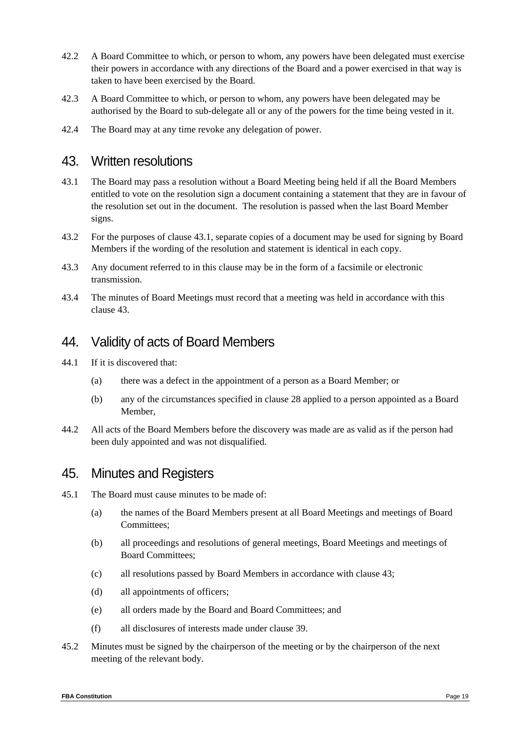- 42.2 A Board Committee to which, or person to whom, any powers have been delegated must exercise their powers in accordance with any directions of the Board and a power exercised in that way is taken to have been exercised by the Board.
- 42.3 A Board Committee to which, or person to whom, any powers have been delegated may be authorised by the Board to sub-delegate all or any of the powers for the time being vested in it.
- 42.4 The Board may at any time revoke any delegation of power.

#### 43. Written resolutions

- 43.1 The Board may pass a resolution without a Board Meeting being held if all the Board Members entitled to vote on the resolution sign a document containing a statement that they are in favour of the resolution set out in the document. The resolution is passed when the last Board Member signs.
- 43.2 For the purposes of clause 43.1, separate copies of a document may be used for signing by Board Members if the wording of the resolution and statement is identical in each copy.
- 43.3 Any document referred to in this clause may be in the form of a facsimile or electronic transmission.
- 43.4 The minutes of Board Meetings must record that a meeting was held in accordance with this clause 43.

#### 44. Validity of acts of Board Members

- 44.1 If it is discovered that:
	- (a) there was a defect in the appointment of a person as a Board Member; or
	- (b) any of the circumstances specified in clause 28 applied to a person appointed as a Board Member,
- 44.2 All acts of the Board Members before the discovery was made are as valid as if the person had been duly appointed and was not disqualified.

#### 45. Minutes and Registers

- 45.1 The Board must cause minutes to be made of:
	- (a) the names of the Board Members present at all Board Meetings and meetings of Board Committees;
	- (b) all proceedings and resolutions of general meetings, Board Meetings and meetings of Board Committees;
	- (c) all resolutions passed by Board Members in accordance with clause 43;
	- (d) all appointments of officers;
	- (e) all orders made by the Board and Board Committees; and
	- (f) all disclosures of interests made under clause 39.
- 45.2 Minutes must be signed by the chairperson of the meeting or by the chairperson of the next meeting of the relevant body.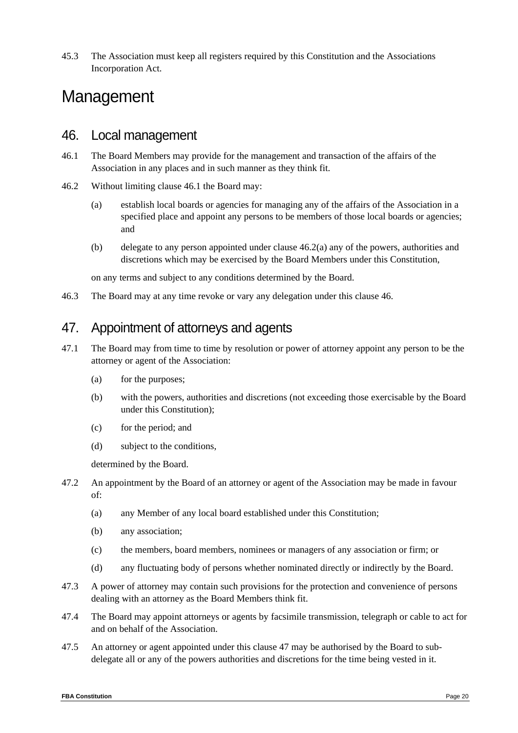45.3 The Association must keep all registers required by this Constitution and the Associations Incorporation Act.

# Management

#### 46. Local management

- 46.1 The Board Members may provide for the management and transaction of the affairs of the Association in any places and in such manner as they think fit.
- 46.2 Without limiting clause 46.1 the Board may:
	- (a) establish local boards or agencies for managing any of the affairs of the Association in a specified place and appoint any persons to be members of those local boards or agencies; and
	- (b) delegate to any person appointed under clause 46.2(a) any of the powers, authorities and discretions which may be exercised by the Board Members under this Constitution,

on any terms and subject to any conditions determined by the Board.

46.3 The Board may at any time revoke or vary any delegation under this clause 46.

### 47. Appointment of attorneys and agents

- 47.1 The Board may from time to time by resolution or power of attorney appoint any person to be the attorney or agent of the Association:
	- (a) for the purposes;
	- (b) with the powers, authorities and discretions (not exceeding those exercisable by the Board under this Constitution);
	- (c) for the period; and
	- (d) subject to the conditions,

determined by the Board.

- 47.2 An appointment by the Board of an attorney or agent of the Association may be made in favour of:
	- (a) any Member of any local board established under this Constitution;
	- (b) any association;
	- (c) the members, board members, nominees or managers of any association or firm; or
	- (d) any fluctuating body of persons whether nominated directly or indirectly by the Board.
- 47.3 A power of attorney may contain such provisions for the protection and convenience of persons dealing with an attorney as the Board Members think fit.
- 47.4 The Board may appoint attorneys or agents by facsimile transmission, telegraph or cable to act for and on behalf of the Association.
- 47.5 An attorney or agent appointed under this clause 47 may be authorised by the Board to subdelegate all or any of the powers authorities and discretions for the time being vested in it.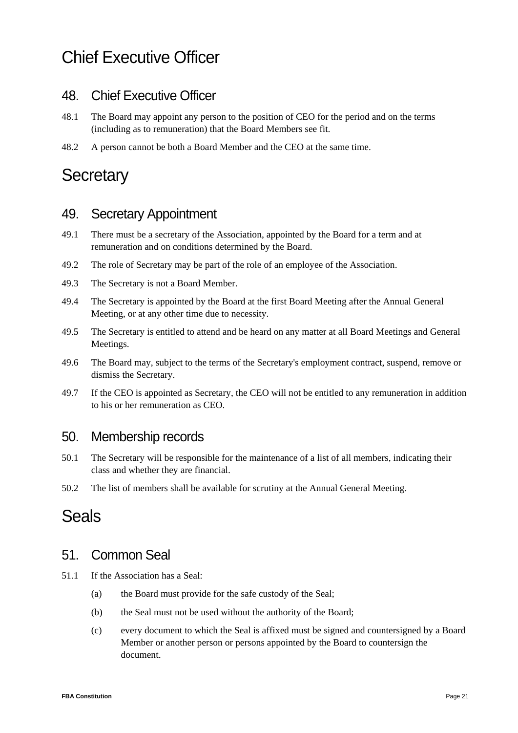# Chief Executive Officer

### 48. Chief Executive Officer

- 48.1 The Board may appoint any person to the position of CEO for the period and on the terms (including as to remuneration) that the Board Members see fit.
- 48.2 A person cannot be both a Board Member and the CEO at the same time.

# **Secretary**

### 49. Secretary Appointment

- 49.1 There must be a secretary of the Association, appointed by the Board for a term and at remuneration and on conditions determined by the Board.
- 49.2 The role of Secretary may be part of the role of an employee of the Association.
- 49.3 The Secretary is not a Board Member.
- 49.4 The Secretary is appointed by the Board at the first Board Meeting after the Annual General Meeting, or at any other time due to necessity.
- 49.5 The Secretary is entitled to attend and be heard on any matter at all Board Meetings and General Meetings.
- 49.6 The Board may, subject to the terms of the Secretary's employment contract, suspend, remove or dismiss the Secretary.
- 49.7 If the CEO is appointed as Secretary, the CEO will not be entitled to any remuneration in addition to his or her remuneration as CEO.

#### 50. Membership records

- 50.1 The Secretary will be responsible for the maintenance of a list of all members, indicating their class and whether they are financial.
- 50.2 The list of members shall be available for scrutiny at the Annual General Meeting.

# Seals

### 51. Common Seal

- 51.1 If the Association has a Seal:
	- (a) the Board must provide for the safe custody of the Seal;
	- (b) the Seal must not be used without the authority of the Board;
	- (c) every document to which the Seal is affixed must be signed and countersigned by a Board Member or another person or persons appointed by the Board to countersign the document.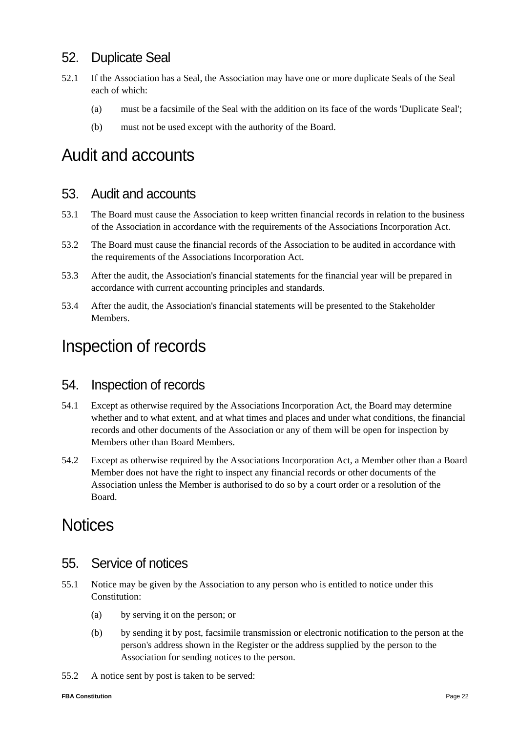### 52. Duplicate Seal

- 52.1 If the Association has a Seal, the Association may have one or more duplicate Seals of the Seal each of which:
	- (a) must be a facsimile of the Seal with the addition on its face of the words 'Duplicate Seal';
	- (b) must not be used except with the authority of the Board.

# Audit and accounts

#### 53. Audit and accounts

- 53.1 The Board must cause the Association to keep written financial records in relation to the business of the Association in accordance with the requirements of the Associations Incorporation Act.
- 53.2 The Board must cause the financial records of the Association to be audited in accordance with the requirements of the Associations Incorporation Act.
- 53.3 After the audit, the Association's financial statements for the financial year will be prepared in accordance with current accounting principles and standards.
- 53.4 After the audit, the Association's financial statements will be presented to the Stakeholder Members.

### Inspection of records

#### 54. Inspection of records

- 54.1 Except as otherwise required by the Associations Incorporation Act, the Board may determine whether and to what extent, and at what times and places and under what conditions, the financial records and other documents of the Association or any of them will be open for inspection by Members other than Board Members.
- 54.2 Except as otherwise required by the Associations Incorporation Act, a Member other than a Board Member does not have the right to inspect any financial records or other documents of the Association unless the Member is authorised to do so by a court order or a resolution of the Board.

# **Notices**

#### 55. Service of notices

- 55.1 Notice may be given by the Association to any person who is entitled to notice under this Constitution:
	- (a) by serving it on the person; or
	- (b) by sending it by post, facsimile transmission or electronic notification to the person at the person's address shown in the Register or the address supplied by the person to the Association for sending notices to the person.
- 55.2 A notice sent by post is taken to be served: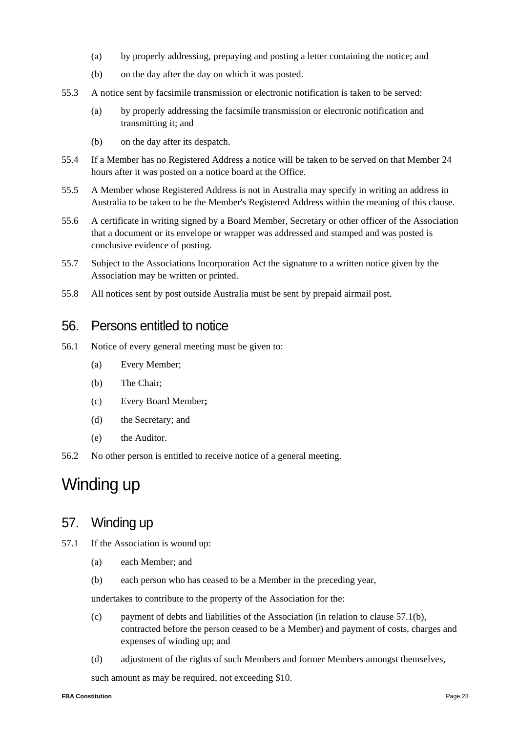- (a) by properly addressing, prepaying and posting a letter containing the notice; and
- (b) on the day after the day on which it was posted.
- 55.3 A notice sent by facsimile transmission or electronic notification is taken to be served:
	- (a) by properly addressing the facsimile transmission or electronic notification and transmitting it; and
	- (b) on the day after its despatch.
- 55.4 If a Member has no Registered Address a notice will be taken to be served on that Member 24 hours after it was posted on a notice board at the Office.
- 55.5 A Member whose Registered Address is not in Australia may specify in writing an address in Australia to be taken to be the Member's Registered Address within the meaning of this clause.
- 55.6 A certificate in writing signed by a Board Member, Secretary or other officer of the Association that a document or its envelope or wrapper was addressed and stamped and was posted is conclusive evidence of posting.
- 55.7 Subject to the Associations Incorporation Act the signature to a written notice given by the Association may be written or printed.
- 55.8 All notices sent by post outside Australia must be sent by prepaid airmail post.

#### 56. Persons entitled to notice

- 56.1 Notice of every general meeting must be given to:
	- (a) Every Member;
	- (b) The Chair;
	- (c) Every Board Member**;**
	- (d) the Secretary; and
	- (e) the Auditor.
- 56.2 No other person is entitled to receive notice of a general meeting.

# Winding up

#### 57. Winding up

- 57.1 If the Association is wound up:
	- (a) each Member; and
	- (b) each person who has ceased to be a Member in the preceding year,

undertakes to contribute to the property of the Association for the:

- (c) payment of debts and liabilities of the Association (in relation to clause 57.1(b), contracted before the person ceased to be a Member) and payment of costs, charges and expenses of winding up; and
- (d) adjustment of the rights of such Members and former Members amongst themselves,

such amount as may be required, not exceeding \$10.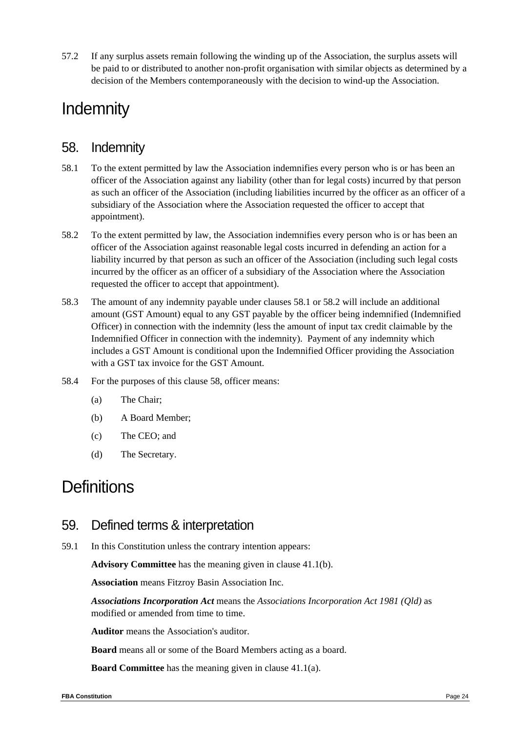57.2 If any surplus assets remain following the winding up of the Association, the surplus assets will be paid to or distributed to another non-profit organisation with similar objects as determined by a decision of the Members contemporaneously with the decision to wind-up the Association.

# **Indemnity**

#### 58. Indemnity

- 58.1 To the extent permitted by law the Association indemnifies every person who is or has been an officer of the Association against any liability (other than for legal costs) incurred by that person as such an officer of the Association (including liabilities incurred by the officer as an officer of a subsidiary of the Association where the Association requested the officer to accept that appointment).
- 58.2 To the extent permitted by law, the Association indemnifies every person who is or has been an officer of the Association against reasonable legal costs incurred in defending an action for a liability incurred by that person as such an officer of the Association (including such legal costs incurred by the officer as an officer of a subsidiary of the Association where the Association requested the officer to accept that appointment).
- 58.3 The amount of any indemnity payable under clauses 58.1 or 58.2 will include an additional amount (GST Amount) equal to any GST payable by the officer being indemnified (Indemnified Officer) in connection with the indemnity (less the amount of input tax credit claimable by the Indemnified Officer in connection with the indemnity). Payment of any indemnity which includes a GST Amount is conditional upon the Indemnified Officer providing the Association with a GST tax invoice for the GST Amount.
- 58.4 For the purposes of this clause 58, officer means:
	- (a) The Chair;
	- (b) A Board Member;
	- (c) The CEO; and
	- (d) The Secretary.

# **Definitions**

#### 59. Defined terms & interpretation

59.1 In this Constitution unless the contrary intention appears:

**Advisory Committee** has the meaning given in clause 41.1(b).

**Association** means Fitzroy Basin Association Inc.

*Associations Incorporation Act* means the *Associations Incorporation Act 1981 (Qld)* as modified or amended from time to time.

**Auditor** means the Association's auditor.

**Board** means all or some of the Board Members acting as a board.

**Board Committee** has the meaning given in clause 41.1(a).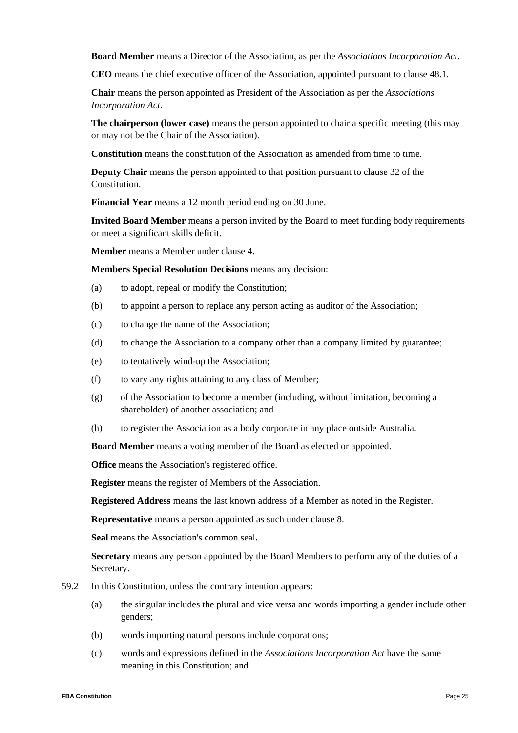**Board Member** means a Director of the Association, as per the *Associations Incorporation Act*.

**CEO** means the chief executive officer of the Association, appointed pursuant to clause 48.1.

**Chair** means the person appointed as President of the Association as per the *Associations Incorporation Act*.

**The chairperson (lower case)** means the person appointed to chair a specific meeting (this may or may not be the Chair of the Association).

**Constitution** means the constitution of the Association as amended from time to time.

**Deputy Chair** means the person appointed to that position pursuant to clause 32 of the Constitution.

**Financial Year** means a 12 month period ending on 30 June.

**Invited Board Member** means a person invited by the Board to meet funding body requirements or meet a significant skills deficit.

**Member** means a Member under clause 4.

**Members Special Resolution Decisions** means any decision:

- (a) to adopt, repeal or modify the Constitution;
- (b) to appoint a person to replace any person acting as auditor of the Association;
- (c) to change the name of the Association;
- (d) to change the Association to a company other than a company limited by guarantee;
- (e) to tentatively wind-up the Association;
- (f) to vary any rights attaining to any class of Member;
- (g) of the Association to become a member (including, without limitation, becoming a shareholder) of another association; and
- (h) to register the Association as a body corporate in any place outside Australia.

**Board Member** means a voting member of the Board as elected or appointed.

**Office** means the Association's registered office.

**Register** means the register of Members of the Association.

**Registered Address** means the last known address of a Member as noted in the Register.

**Representative** means a person appointed as such under clause 8.

**Seal** means the Association's common seal.

**Secretary** means any person appointed by the Board Members to perform any of the duties of a Secretary.

- 59.2 In this Constitution, unless the contrary intention appears:
	- (a) the singular includes the plural and vice versa and words importing a gender include other genders;
	- (b) words importing natural persons include corporations;
	- (c) words and expressions defined in the *Associations Incorporation Act* have the same meaning in this Constitution; and